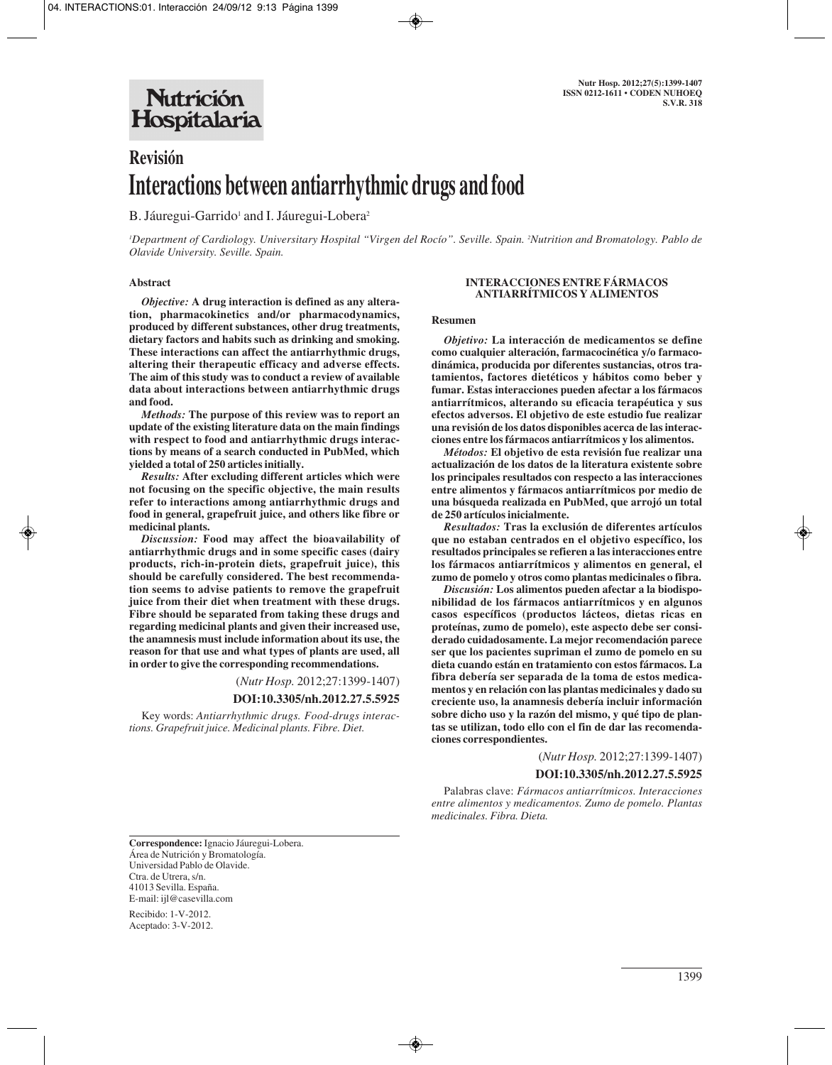# **Revisión Interactions between antiarrhythmic drugs and food**

B. Jáuregui-Garrido<sup>1</sup> and I. Jáuregui-Lobera<sup>2</sup>

*1 Department of Cardiology. Universitary Hospital "Virgen del Rocío". Seville. Spain. 2 Nutrition and Bromatology. Pablo de Olavide University. Seville. Spain.*

## **Abstract**

*Objective:* **A drug interaction is defined as any alteration, pharmacokinetics and/or pharmacodynamics, produced by different substances, other drug treatments, dietary factors and habits such as drinking and smoking. These interactions can affect the antiarrhythmic drugs, altering their therapeutic efficacy and adverse effects. The aim of this study was to conduct a review of available data about interactions between antiarrhythmic drugs and food.** 

*Methods:* **The purpose of this review was to report an update of the existing literature data on the main findings with respect to food and antiarrhythmic drugs interactions by means of a search conducted in PubMed, which yielded a total of 250 articles initially.** 

*Results:* **After excluding different articles which were not focusing on the specific objective, the main results refer to interactions among antiarrhythmic drugs and food in general, grapefruit juice, and others like fibre or medicinal plants.** 

*Discussion:* **Food may affect the bioavailability of antiarrhythmic drugs and in some specific cases (dairy products, rich-in-protein diets, grapefruit juice), this should be carefully considered. The best recommendation seems to advise patients to remove the grapefruit juice from their diet when treatment with these drugs. Fibre should be separated from taking these drugs and regarding medicinal plants and given their increased use, the anamnesis must include information about its use, the reason for that use and what types of plants are used, all in order to give the corresponding recommendations.**

(*Nutr Hosp.* 2012;27:1399-1407)

### **DOI:10.3305/nh.2012.27.5.5925**

Key words: *Antiarrhythmic drugs. Food-drugs interactions. Grapefruit juice. Medicinal plants. Fibre. Diet.* 

#### **INTERACCIONES ENTRE FÁRMACOS ANTIARRÍTMICOS Y ALIMENTOS**

#### **Resumen**

*Objetivo:* **La interacción de medicamentos se define como cualquier alteración, farmacocinética y/o farmacodinámica, producida por diferentes sustancias, otros tratamientos, factores dietéticos y hábitos como beber y fumar. Estas interacciones pueden afectar a los fármacos antiarrítmicos, alterando su eficacia terapéutica y sus efectos adversos. El objetivo de este estudio fue realizar una revisión de los datos disponibles acerca de las interacciones entre los fármacos antiarrítmicos y los alimentos.**

*Métodos:* **El objetivo de esta revisión fue realizar una actualización de los datos de la literatura existente sobre los principales resultados con respecto a las interacciones entre alimentos y fármacos antiarrítmicos por medio de una búsqueda realizada en PubMed, que arrojó un total de 250 artículos inicialmente.** 

*Resultados:* **Tras la exclusión de diferentes artículos que no estaban centrados en el objetivo específico, los resultados principales se refieren a las interacciones entre los fármacos antiarrítmicos y alimentos en general, el zumo de pomelo y otros como plantas medicinales o fibra.**

*Discusión:* **Los alimentos pueden afectar a la biodisponibilidad de los fármacos antiarrítmicos y en algunos casos específicos (productos lácteos, dietas ricas en proteí nas, zumo de pomelo), este aspecto debe ser considerado cuidadosamente. La mejor recomendación parece ser que los pacientes supriman el zumo de pomelo en su dieta cuando están en tratamiento con estos fármacos. La fibra debería ser separada de la toma de estos medicamentos y en relación con las plantas medicinales y dado su creciente uso, la anamnesis debería incluir información sobre dicho uso y la razón del mismo, y qué tipo de plantas se utilizan, todo ello con el fin de dar las recomendaciones correspondientes.**

(*Nutr Hosp.* 2012;27:1399-1407)

**DOI:10.3305/nh.2012.27.5.5925**

Palabras clave: *Fármacos antiarrítmicos. Interacciones entre alimentos y medicamentos. Zumo de pomelo. Plantas medicinales. Fibra. Dieta.*

**Correspondence:** Ignacio Jáuregui-Lobera. Área de Nutrición y Bromatología. Universidad Pablo de Olavide. Ctra. de Utrera, s/n. 41013 Sevilla. España. E-mail: ijl@casevilla.com

Recibido: 1-V-2012. Aceptado: 3-V-2012.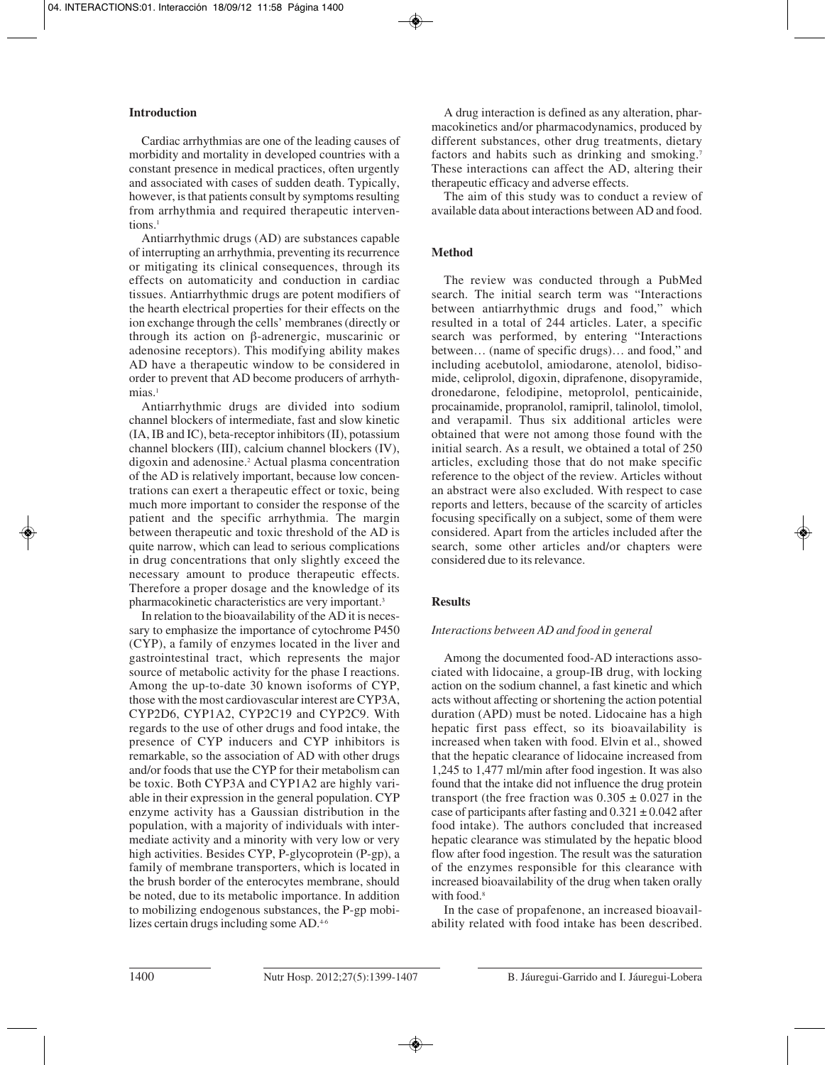## **Introduction**

Cardiac arrhythmias are one of the leading causes of morbidity and mortality in developed countries with a constant presence in medical practices, often urgently and associated with cases of sudden death. Typically, however, is that patients consult by symptoms resulting from arrhythmia and required therapeutic interventions.<sup>1</sup>

Antiarrhythmic drugs (AD) are substances capable of interrupting an arrhythmia, preventing its recurrence or mitigating its clinical consequences, through its effects on automaticity and conduction in cardiac tissues. Antiarrhythmic drugs are potent modifiers of the hearth electrical properties for their effects on the ion exchange through the cells' membranes (directly or through its action on β-adrenergic, muscarinic or adenosine receptors). This modifying ability makes AD have a therapeutic window to be considered in order to prevent that AD become producers of arrhythmias<sup>1</sup>

Antiarrhythmic drugs are divided into sodium channel blockers of intermediate, fast and slow kinetic (IA, IB and IC), beta-receptor inhibitors (II), potassium channel blockers (III), calcium channel blockers (IV), digoxin and adenosine.2 Actual plasma concentration of the AD is relatively important, because low concentrations can exert a therapeutic effect or toxic, being much more important to consider the response of the patient and the specific arrhythmia. The margin between therapeutic and toxic threshold of the AD is quite narrow, which can lead to serious complications in drug concentrations that only slightly exceed the necessary amount to produce therapeutic effects. Therefore a proper dosage and the knowledge of its pharmacokinetic characteristics are very important.3

In relation to the bioavailability of the AD it is necessary to emphasize the importance of cytochrome P450 (CYP), a family of enzymes located in the liver and gastrointestinal tract, which represents the major source of metabolic activity for the phase I reactions. Among the up-to-date 30 known isoforms of CYP, those with the most cardiovascular interest are CYP3A, CYP2D6, CYP1A2, CYP2C19 and CYP2C9. With regards to the use of other drugs and food intake, the presence of CYP inducers and CYP inhibitors is remarkable, so the association of AD with other drugs and/or foods that use the CYP for their metabolism can be toxic. Both CYP3A and CYP1A2 are highly variable in their expression in the general population. CYP enzyme activity has a Gaussian distribution in the population, with a majority of individuals with intermediate activity and a minority with very low or very high activities. Besides CYP, P-glycoprotein (P-gp), a family of membrane transporters, which is located in the brush border of the enterocytes membrane, should be noted, due to its metabolic importance. In addition to mobilizing endogenous substances, the P-gp mobilizes certain drugs including some AD.<sup>4-6</sup>

A drug interaction is defined as any alteration, pharmacokinetics and/or pharmacodynamics, produced by different substances, other drug treatments, dietary factors and habits such as drinking and smoking.7 These interactions can affect the AD, altering their therapeutic efficacy and adverse effects.

The aim of this study was to conduct a review of available data about interactions between AD and food.

# **Method**

The review was conducted through a PubMed search. The initial search term was "Interactions between antiarrhythmic drugs and food," which resulted in a total of 244 articles. Later, a specific search was performed, by entering "Interactions between… (name of specific drugs)… and food," and including acebutolol, amiodarone, atenolol, bidisomide, celiprolol, digoxin, diprafenone, disopyramide, dronedarone, felodipine, metoprolol, penticainide, procainamide, propranolol, ramipril, talinolol, timolol, and verapamil. Thus six additional articles were obtained that were not among those found with the initial search. As a result, we obtained a total of 250 articles, excluding those that do not make specific reference to the object of the review. Articles without an abstract were also excluded. With respect to case reports and letters, because of the scarcity of articles focusing specifically on a subject, some of them were considered. Apart from the articles included after the search, some other articles and/or chapters were considered due to its relevance.

### **Results**

### *Interactions between AD and food in general*

Among the documented food-AD interactions associated with lidocaine, a group-IB drug, with locking action on the sodium channel, a fast kinetic and which acts without affecting or shortening the action potential duration (APD) must be noted. Lidocaine has a high hepatic first pass effect, so its bioavailability is increased when taken with food. Elvin et al., showed that the hepatic clearance of lidocaine increased from 1,245 to 1,477 ml/min after food ingestion. It was also found that the intake did not influence the drug protein transport (the free fraction was  $0.305 \pm 0.027$  in the case of participants after fasting and  $0.321 \pm 0.042$  after food intake). The authors concluded that increased hepatic clearance was stimulated by the hepatic blood flow after food ingestion. The result was the saturation of the enzymes responsible for this clearance with increased bioavailability of the drug when taken orally with food.<sup>8</sup>

In the case of propafenone, an increased bioavailability related with food intake has been described.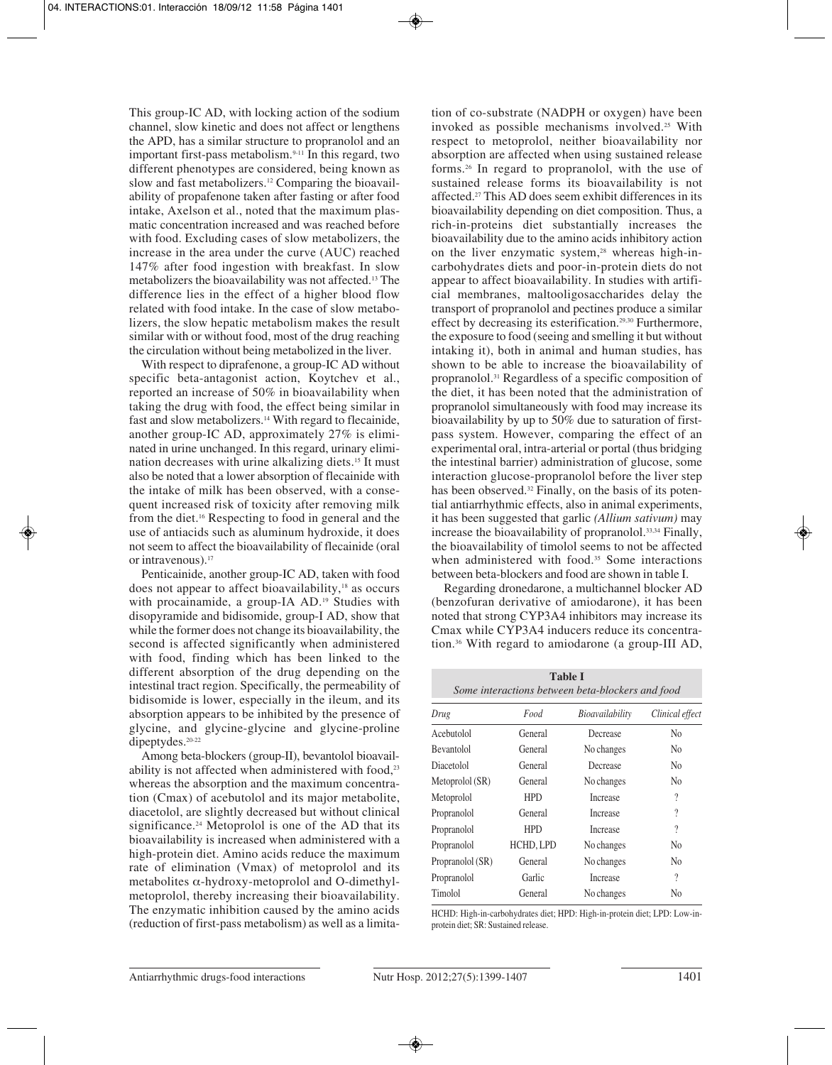This group-IC AD, with locking action of the sodium channel, slow kinetic and does not affect or lengthens the APD, has a similar structure to propranolol and an important first-pass metabolism.9-11 In this regard, two different phenotypes are considered, being known as slow and fast metabolizers.12 Comparing the bioavailability of propafenone taken after fasting or after food intake, Axelson et al., noted that the maximum plasmatic concentration increased and was reached before with food. Excluding cases of slow metabolizers, the increase in the area under the curve (AUC) reached 147% after food ingestion with breakfast. In slow metabolizers the bioavailability was not affected.13 The difference lies in the effect of a higher blood flow related with food intake. In the case of slow metabolizers, the slow hepatic metabolism makes the result similar with or without food, most of the drug reaching the circulation without being metabolized in the liver.

With respect to diprafenone, a group-IC AD without specific beta-antagonist action, Koytchev et al., reported an increase of 50% in bioavailability when taking the drug with food, the effect being similar in fast and slow metabolizers.14 With regard to flecainide, another group-IC AD, approximately 27% is eliminated in urine unchanged. In this regard, urinary elimination decreases with urine alkalizing diets.15 It must also be noted that a lower absorption of flecainide with the intake of milk has been observed, with a consequent increased risk of toxicity after removing milk from the diet.16 Respecting to food in general and the use of antiacids such as aluminum hydroxide, it does not seem to affect the bioavailability of flecainide (oral or intravenous).17

Penticainide, another group-IC AD, taken with food does not appear to affect bioavailability,18 as occurs with procainamide, a group-IA AD.<sup>19</sup> Studies with disopyramide and bidisomide, group-I AD, show that while the former does not change its bioavailability, the second is affected significantly when administered with food, finding which has been linked to the different absorption of the drug depending on the intestinal tract region. Specifically, the permeability of bidisomide is lower, especially in the ileum, and its absorption appears to be inhibited by the presence of glycine, and glycine-glycine and glycine-proline dipeptydes.<sup>20-22</sup>

Among beta-blockers (group-II), bevantolol bioavailability is not affected when administered with food, $23$ whereas the absorption and the maximum concentration (Cmax) of acebutolol and its major metabolite, diacetolol, are slightly decreased but without clinical significance.<sup>24</sup> Metoprolol is one of the AD that its bioavailability is increased when administered with a high-protein diet. Amino acids reduce the maximum rate of elimination (Vmax) of metoprolol and its metabolites  $\alpha$ -hydroxy-metoprolol and O-dimethylmetoprolol, thereby increasing their bioavailability. The enzymatic inhibition caused by the amino acids (reduction of first-pass metabolism) as well as a limitation of co-substrate (NADPH or oxygen) have been invoked as possible mechanisms involved.25 With respect to metoprolol, neither bioavailability nor absorption are affected when using sustained release forms.26 In regard to propranolol, with the use of sustained release forms its bioavailability is not affected.27 This AD does seem exhibit differences in its bioavailability depending on diet composition. Thus, a rich-in-proteins diet substantially increases the bioavailability due to the amino acids inhibitory action on the liver enzymatic system,<sup>28</sup> whereas high-incarbohydrates diets and poor-in-protein diets do not appear to affect bioavailability. In studies with artificial membranes, maltooligosaccharides delay the transport of propranolol and pectines produce a similar effect by decreasing its esterification.29,30 Furthermore, the exposure to food (seeing and smelling it but without intaking it), both in animal and human studies, has shown to be able to increase the bioavailability of propranolol.31 Regardless of a specific composition of the diet, it has been noted that the administration of propranolol simultaneously with food may increase its bioavailability by up to 50% due to saturation of firstpass system. However, comparing the effect of an experimental oral, intra-arterial or portal (thus bridging the intestinal barrier) administration of glucose, some interaction glucose-propranolol before the liver step has been observed.<sup>32</sup> Finally, on the basis of its potential antiarrhythmic effects, also in animal experiments, it has been suggested that garlic *(Allium sativum)* may increase the bioavailability of propranolol.<sup>33,34</sup> Finally, the bioavailability of timolol seems to not be affected when administered with food.<sup>35</sup> Some interactions between beta-blockers and food are shown in table I.

Regarding dronedarone, a multichannel blocker AD (benzofuran derivative of amiodarone), it has been noted that strong CYP3A4 inhibitors may increase its Cmax while CYP3A4 inducers reduce its concentration.36 With regard to amiodarone (a group-III AD,

| <b>Table I</b><br>Some interactions between beta-blockers and food |            |                 |                          |  |  |  |
|--------------------------------------------------------------------|------------|-----------------|--------------------------|--|--|--|
| Drug                                                               | Food       | Bioavailability | Clinical effect          |  |  |  |
| Acebutolol                                                         | General    | Decrease        | N <sub>0</sub>           |  |  |  |
| <b>Bevantolol</b>                                                  | General    | No changes      | N <sub>0</sub>           |  |  |  |
| Diacetolol                                                         | General    | Decrease        | N <sub>0</sub>           |  |  |  |
| Metoprolol (SR)                                                    | General    | No changes      | N <sub>0</sub>           |  |  |  |
| Metoprolol                                                         | <b>HPD</b> | <b>Increase</b> | $\overline{\phantom{a}}$ |  |  |  |
| Propranolol                                                        | General    | <b>Increase</b> | 9                        |  |  |  |
| Propranolol                                                        | <b>HPD</b> | <b>Increase</b> | $\overline{\cdot}$       |  |  |  |
| Propranolol                                                        | HCHD, LPD  | No changes      | N <sub>0</sub>           |  |  |  |
| Propranolol (SR)                                                   | General    | No changes      | N <sub>0</sub>           |  |  |  |
| Propranolol                                                        | Garlic     | <b>Increase</b> | $\overline{\phantom{a}}$ |  |  |  |
| Timolol                                                            | General    | No changes      | No                       |  |  |  |

HCHD: High-in-carbohydrates diet; HPD: High-in-protein diet; LPD: Low-inprotein diet; SR: Sustained release.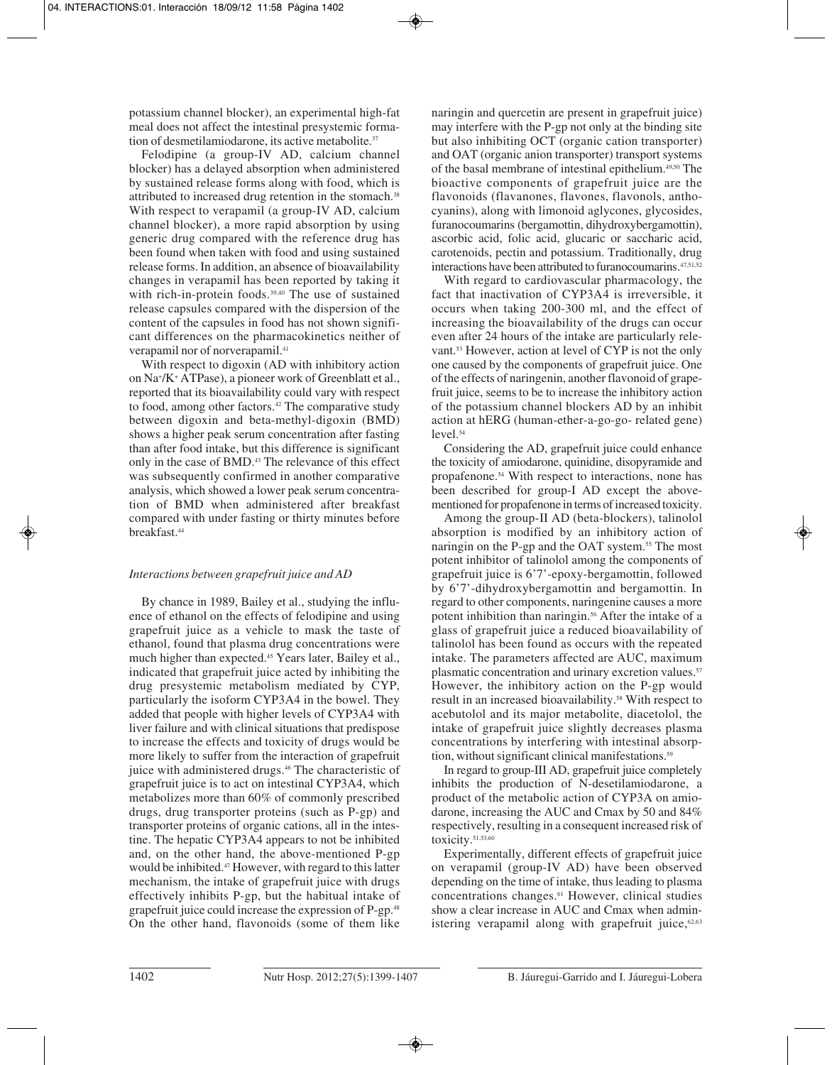potassium channel blocker), an experimental high-fat meal does not affect the intestinal presystemic formation of desmetilamiodarone, its active metabolite.<sup>37</sup>

Felodipine (a group-IV AD, calcium channel blocker) has a delayed absorption when administered by sustained release forms along with food, which is attributed to increased drug retention in the stomach.<sup>38</sup> With respect to verapamil (a group-IV AD, calcium channel blocker), a more rapid absorption by using generic drug compared with the reference drug has been found when taken with food and using sustained release forms. In addition, an absence of bioavailability changes in verapamil has been reported by taking it with rich-in-protein foods.<sup>39,40</sup> The use of sustained release capsules compared with the dispersion of the content of the capsules in food has not shown significant differences on the pharmacokinetics neither of verapamil nor of norverapamil.<sup>41</sup>

With respect to digoxin (AD with inhibitory action on Na+ /K+ ATPase), a pioneer work of Greenblatt et al., reported that its bioavailability could vary with respect to food, among other factors.<sup>42</sup> The comparative study between digoxin and beta-methyl-digoxin (BMD) shows a higher peak serum concentration after fasting than after food intake, but this difference is significant only in the case of BMD.43 The relevance of this effect was subsequently confirmed in another comparative analysis, which showed a lower peak serum concentration of BMD when administered after breakfast compared with under fasting or thirty minutes before breakfast.44

### *Interactions between grapefruit juice and AD*

By chance in 1989, Bailey et al., studying the influence of ethanol on the effects of felodipine and using grapefruit juice as a vehicle to mask the taste of ethanol, found that plasma drug concentrations were much higher than expected.<sup>45</sup> Years later, Bailey et al., indicated that grapefruit juice acted by inhibiting the drug presystemic metabolism mediated by CYP, particularly the isoform CYP3A4 in the bowel. They added that people with higher levels of CYP3A4 with liver failure and with clinical situations that predispose to increase the effects and toxicity of drugs would be more likely to suffer from the interaction of grapefruit juice with administered drugs.<sup>46</sup> The characteristic of grapefruit juice is to act on intestinal CYP3A4, which metabolizes more than 60% of commonly prescribed drugs, drug transporter proteins (such as P-gp) and transporter proteins of organic cations, all in the intestine. The hepatic CYP3A4 appears to not be inhibited and, on the other hand, the above-mentioned P-gp would be inhibited.<sup>47</sup> However, with regard to this latter mechanism, the intake of grapefruit juice with drugs effectively inhibits P-gp, but the habitual intake of grapefruit juice could increase the expression of P-gp.48 On the other hand, flavonoids (some of them like

naringin and quercetin are present in grapefruit juice) may interfere with the P-gp not only at the binding site but also inhibiting OCT (organic cation transporter) and OAT (organic anion transporter) transport systems of the basal membrane of intestinal epithelium.<sup>49,50</sup> The bioactive components of grapefruit juice are the flavonoids (flavanones, flavones, flavonols, anthocyanins), along with limonoid aglycones, glycosides, furanocoumarins (bergamottin, dihydroxybergamottin), ascorbic acid, folic acid, glucaric or saccharic acid, carotenoids, pectin and potassium. Traditionally, drug interactions have been attributed to furanocoumarins.<sup>47,51,52</sup>

With regard to cardiovascular pharmacology, the fact that inactivation of CYP3A4 is irreversible, it occurs when taking 200-300 ml, and the effect of increasing the bioavailability of the drugs can occur even after 24 hours of the intake are particularly relevant.53 However, action at level of CYP is not the only one caused by the components of grapefruit juice. One of the effects of naringenin, another flavonoid of grapefruit juice, seems to be to increase the inhibitory action of the potassium channel blockers AD by an inhibit action at hERG (human-ether-a-go-go- related gene)  $level.<sup>54</sup>$ 

Considering the AD, grapefruit juice could enhance the toxicity of amiodarone, quinidine, disopyramide and propafenone.54 With respect to interactions, none has been described for group-I AD except the abovementioned for propafenone in terms of increased toxicity.

Among the group-II AD (beta-blockers), talinolol absorption is modified by an inhibitory action of naringin on the P-gp and the OAT system.<sup>55</sup> The most potent inhibitor of talinolol among the components of grapefruit juice is 6'7'-epoxy-bergamottin, followed by 6'7'-dihydroxybergamottin and bergamottin. In regard to other components, naringenine causes a more potent inhibition than naringin.56 After the intake of a glass of grapefruit juice a reduced bioavailability of talinolol has been found as occurs with the repeated intake. The parameters affected are AUC, maximum plasmatic concentration and urinary excretion values.<sup>57</sup> However, the inhibitory action on the P-gp would result in an increased bioavailability.<sup>58</sup> With respect to acebutolol and its major metabolite, diacetolol, the intake of grapefruit juice slightly decreases plasma concentrations by interfering with intestinal absorption, without significant clinical manifestations.<sup>59</sup>

In regard to group-III AD, grapefruit juice completely inhibits the production of N-desetilamiodarone, a product of the metabolic action of CYP3A on amiodarone, increasing the AUC and Cmax by 50 and 84% respectively, resulting in a consequent increased risk of toxicity.51,53,60

Experimentally, different effects of grapefruit juice on verapamil (group-IV AD) have been observed depending on the time of intake, thus leading to plasma concentrations changes.61 However, clinical studies show a clear increase in AUC and Cmax when administering verapamil along with grapefruit juice, $62,63$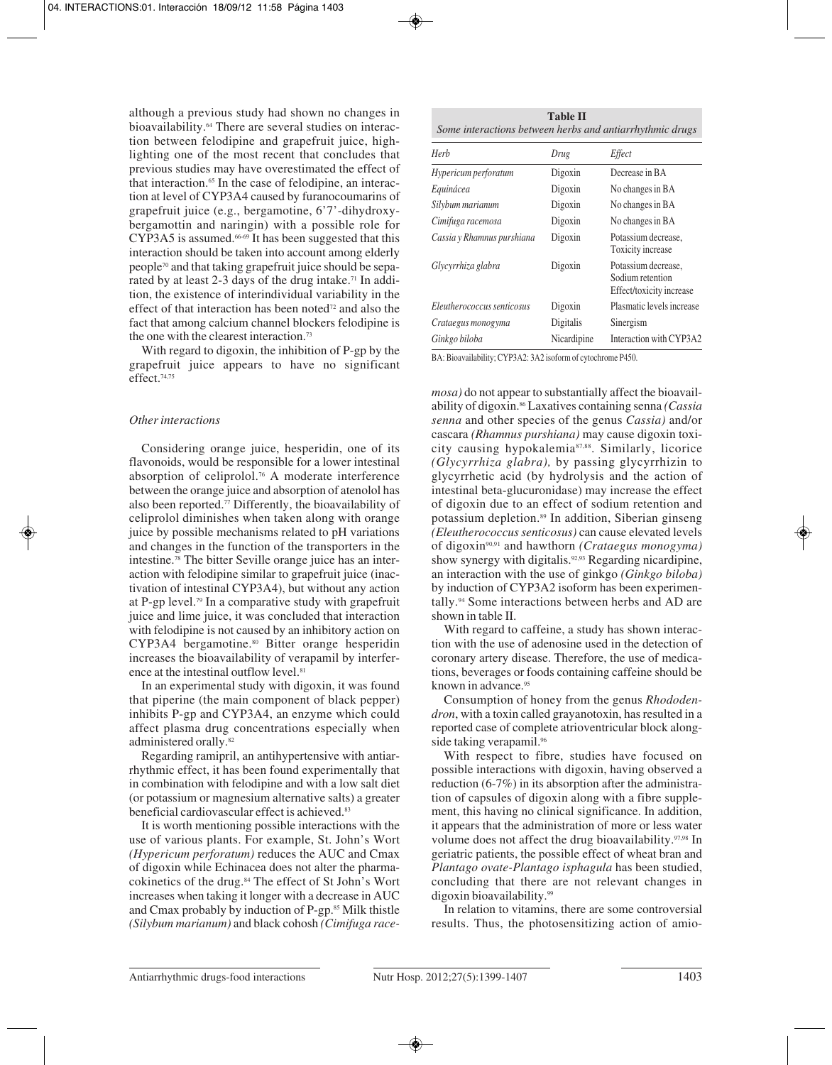although a previous study had shown no changes in bioavailability.<sup>64</sup> There are several studies on interaction between felodipine and grapefruit juice, highlighting one of the most recent that concludes that previous studies may have overestimated the effect of that interaction.<sup>65</sup> In the case of felodipine, an interaction at level of CYP3A4 caused by furanocoumarins of grapefruit juice (e.g., bergamotine, 6'7'-dihydroxybergamottin and naringin) with a possible role for CYP3A5 is assumed.66-69 It has been suggested that this interaction should be taken into account among elderly people70 and that taking grapefruit juice should be separated by at least 2-3 days of the drug intake.<sup>71</sup> In addition, the existence of interindividual variability in the effect of that interaction has been noted<sup> $72$ </sup> and also the fact that among calcium channel blockers felodipine is the one with the clearest interaction.73

With regard to digoxin, the inhibition of P-gp by the grapefruit juice appears to have no significant effect.74,75

#### *Other interactions*

Considering orange juice, hesperidin, one of its flavonoids, would be responsible for a lower intestinal absorption of celiprolol.76 A moderate interference between the orange juice and absorption of atenolol has also been reported.<sup>77</sup> Differently, the bioavailability of celiprolol diminishes when taken along with orange juice by possible mechanisms related to pH variations and changes in the function of the transporters in the intestine.78 The bitter Seville orange juice has an interaction with felodipine similar to grapefruit juice (inactivation of intestinal CYP3A4), but without any action at P-gp level.79 In a comparative study with grapefruit juice and lime juice, it was concluded that interaction with felodipine is not caused by an inhibitory action on CYP3A4 bergamotine.80 Bitter orange hesperidin increases the bioavailability of verapamil by interference at the intestinal outflow level.<sup>81</sup>

In an experimental study with digoxin, it was found that piperine (the main component of black pepper) inhibits P-gp and CYP3A4, an enzyme which could affect plasma drug concentrations especially when administered orally.<sup>82</sup>

Regarding ramipril, an antihypertensive with antiarrhythmic effect, it has been found experimentally that in combination with felodipine and with a low salt diet (or potassium or magnesium alternative salts) a greater beneficial cardiovascular effect is achieved.<sup>83</sup>

It is worth mentioning possible interactions with the use of various plants. For example, St. John's Wort *(Hypericum perforatum)* reduces the AUC and Cmax of digoxin while Echinacea does not alter the pharmacokinetics of the drug.84 The effect of St John's Wort increases when taking it longer with a decrease in AUC and Cmax probably by induction of P-gp.<sup>85</sup> Milk thistle *(Silybum marianum)* and black cohosh *(Cimifuga race-*

| <b>Table II</b>                                          |  |  |  |  |
|----------------------------------------------------------|--|--|--|--|
| Some interactions between herbs and antiarrhythmic drugs |  |  |  |  |

| Herb                       | Drug        | Effect                                                              |
|----------------------------|-------------|---------------------------------------------------------------------|
| Hypericum perforatum       | Digoxin     | Decrease in BA                                                      |
| Equinácea                  | Digoxin     | No changes in BA                                                    |
| Silybum marianum           | Digoxin     | No changes in BA                                                    |
| Cimifuga racemosa          | Digoxin     | No changes in BA                                                    |
| Cassia y Rhamnus purshiana | Digoxin     | Potassium decrease.<br>Toxicity increase                            |
| Glycyrrhiza glabra         | Digoxin     | Potassium decrease,<br>Sodium retention<br>Effect/toxicity increase |
| Eleutherococcus senticosus | Digoxin     | Plasmatic levels increase                                           |
| Crataegus monogyma         | Digitalis   | Sinergism                                                           |
| Ginkgo biloba              | Nicardipine | Interaction with CYP3A2                                             |

BA: Bioavailability; CYP3A2: 3A2 isoform of cytochrome P450.

*mosa)* do not appear to substantially affect the bioavailability of digoxin.86 Laxatives containing senna *(Cassia senna* and other species of the genus *Cassia)* and/or cascara *(Rhamnus purshiana)* may cause digoxin toxicity causing hypokalemia87,88. Similarly, licorice *(Glycyrrhiza glabra),* by passing glycyrrhizin to glycyrrhetic acid (by hydrolysis and the action of intestinal beta-glucuronidase) may increase the effect of digoxin due to an effect of sodium retention and potassium depletion.<sup>89</sup> In addition, Siberian ginseng *(Eleutherococcus senticosus)* can cause elevated levels of digoxin90,91 and hawthorn *(Crataegus monogyma)* show synergy with digitalis.<sup>92,93</sup> Regarding nicardipine, an interaction with the use of ginkgo *(Ginkgo biloba)* by induction of CYP3A2 isoform has been experimentally.94 Some interactions between herbs and AD are shown in table II.

With regard to caffeine, a study has shown interaction with the use of adenosine used in the detection of coronary artery disease. Therefore, the use of medications, beverages or foods containing caffeine should be known in advance.<sup>95</sup>

Consumption of honey from the genus *Rhododendron*, with a toxin called grayanotoxin, has resulted in a reported case of complete atrioventricular block alongside taking verapamil.<sup>96</sup>

With respect to fibre, studies have focused on possible interactions with digoxin, having observed a reduction (6-7%) in its absorption after the administration of capsules of digoxin along with a fibre supplement, this having no clinical significance. In addition, it appears that the administration of more or less water volume does not affect the drug bioavailability.<sup>97,98</sup> In geriatric patients, the possible effect of wheat bran and *Plantago ovate-Plantago isphagula* has been studied, concluding that there are not relevant changes in digoxin bioavailability.99

In relation to vitamins, there are some controversial results. Thus, the photosensitizing action of amio-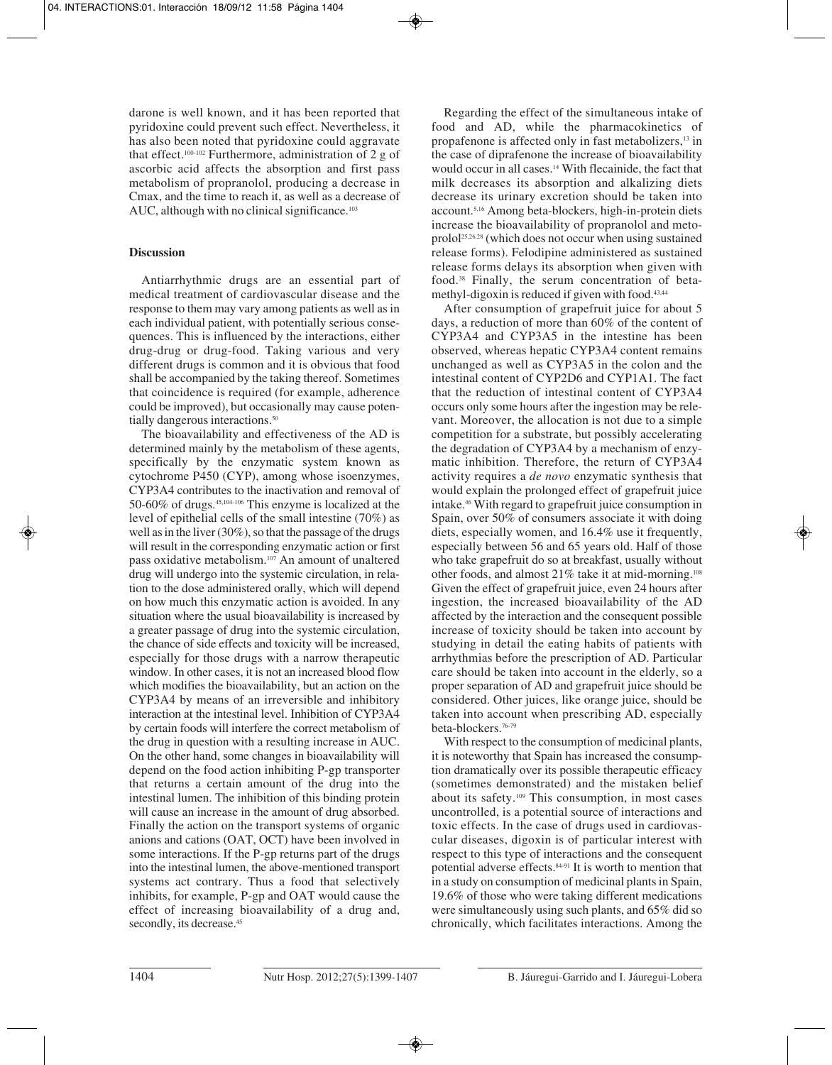darone is well known, and it has been reported that pyridoxine could prevent such effect. Nevertheless, it has also been noted that pyridoxine could aggravate that effect.100-102 Furthermore, administration of 2 g of ascorbic acid affects the absorption and first pass metabolism of propranolol, producing a decrease in Cmax, and the time to reach it, as well as a decrease of AUC, although with no clinical significance.<sup>103</sup>

## **Discussion**

Antiarrhythmic drugs are an essential part of medical treatment of cardiovascular disease and the response to them may vary among patients as well as in each individual patient, with potentially serious consequences. This is influenced by the interactions, either drug-drug or drug-food. Taking various and very different drugs is common and it is obvious that food shall be accompanied by the taking thereof. Sometimes that coincidence is required (for example, adherence could be improved), but occasionally may cause potentially dangerous interactions.<sup>50</sup>

The bioavailability and effectiveness of the AD is determined mainly by the metabolism of these agents, specifically by the enzymatic system known as cytochrome P450 (CYP), among whose isoenzymes, CYP3A4 contributes to the inactivation and removal of 50-60% of drugs.45,104-106 This enzyme is localized at the level of epithelial cells of the small intestine (70%) as well as in the liver (30%), so that the passage of the drugs will result in the corresponding enzymatic action or first pass oxidative metabolism.107 An amount of unaltered drug will undergo into the systemic circulation, in relation to the dose administered orally, which will depend on how much this enzymatic action is avoided. In any situation where the usual bioavailability is increased by a greater passage of drug into the systemic circulation, the chance of side effects and toxicity will be increased, especially for those drugs with a narrow therapeutic window. In other cases, it is not an increased blood flow which modifies the bioavailability, but an action on the CYP3A4 by means of an irreversible and inhibitory interaction at the intestinal level. Inhibition of CYP3A4 by certain foods will interfere the correct metabolism of the drug in question with a resulting increase in AUC. On the other hand, some changes in bioavailability will depend on the food action inhibiting P-gp transporter that returns a certain amount of the drug into the intestinal lumen. The inhibition of this binding protein will cause an increase in the amount of drug absorbed. Finally the action on the transport systems of organic anions and cations (OAT, OCT) have been involved in some interactions. If the P-gp returns part of the drugs into the intestinal lumen, the above-mentioned transport systems act contrary. Thus a food that selectively inhibits, for example, P-gp and OAT would cause the effect of increasing bioavailability of a drug and, secondly, its decrease.<sup>45</sup>

Regarding the effect of the simultaneous intake of food and AD, while the pharmacokinetics of propafenone is affected only in fast metabolizers,13 in the case of diprafenone the increase of bioavailability would occur in all cases.<sup>14</sup> With flecainide, the fact that milk decreases its absorption and alkalizing diets decrease its urinary excretion should be taken into account.5,16 Among beta-blockers, high-in-protein diets increase the bioavailability of propranolol and metoprolol25,26,28 (which does not occur when using sustained release forms). Felodipine administered as sustained release forms delays its absorption when given with food.38 Finally, the serum concentration of betamethyl-digoxin is reduced if given with food.43,44

After consumption of grapefruit juice for about 5 days, a reduction of more than 60% of the content of CYP3A4 and CYP3A5 in the intestine has been observed, whereas hepatic CYP3A4 content remains unchanged as well as CYP3A5 in the colon and the intestinal content of CYP2D6 and CYP1A1. The fact that the reduction of intestinal content of CYP3A4 occurs only some hours after the ingestion may be relevant. Moreover, the allocation is not due to a simple competition for a substrate, but possibly accelerating the degradation of CYP3A4 by a mechanism of enzymatic inhibition. Therefore, the return of CYP3A4 activity requires a *de novo* enzymatic synthesis that would explain the prolonged effect of grapefruit juice intake.46 With regard to grapefruit juice consumption in Spain, over 50% of consumers associate it with doing diets, especially women, and 16.4% use it frequently, especially between 56 and 65 years old. Half of those who take grapefruit do so at breakfast, usually without other foods, and almost 21% take it at mid-morning.108 Given the effect of grapefruit juice, even 24 hours after ingestion, the increased bioavailability of the AD affected by the interaction and the consequent possible increase of toxicity should be taken into account by studying in detail the eating habits of patients with arrhythmias before the prescription of AD. Particular care should be taken into account in the elderly, so a proper separation of AD and grapefruit juice should be considered. Other juices, like orange juice, should be taken into account when prescribing AD, especially beta-blockers.76-79

With respect to the consumption of medicinal plants, it is noteworthy that Spain has increased the consumption dramatically over its possible therapeutic efficacy (sometimes demonstrated) and the mistaken belief about its safety.109 This consumption, in most cases uncontrolled, is a potential source of interactions and toxic effects. In the case of drugs used in cardiovascular diseases, digoxin is of particular interest with respect to this type of interactions and the consequent potential adverse effects.84-91 It is worth to mention that in a study on consumption of medicinal plants in Spain, 19.6% of those who were taking different medications were simultaneously using such plants, and 65% did so chronically, which facilitates interactions. Among the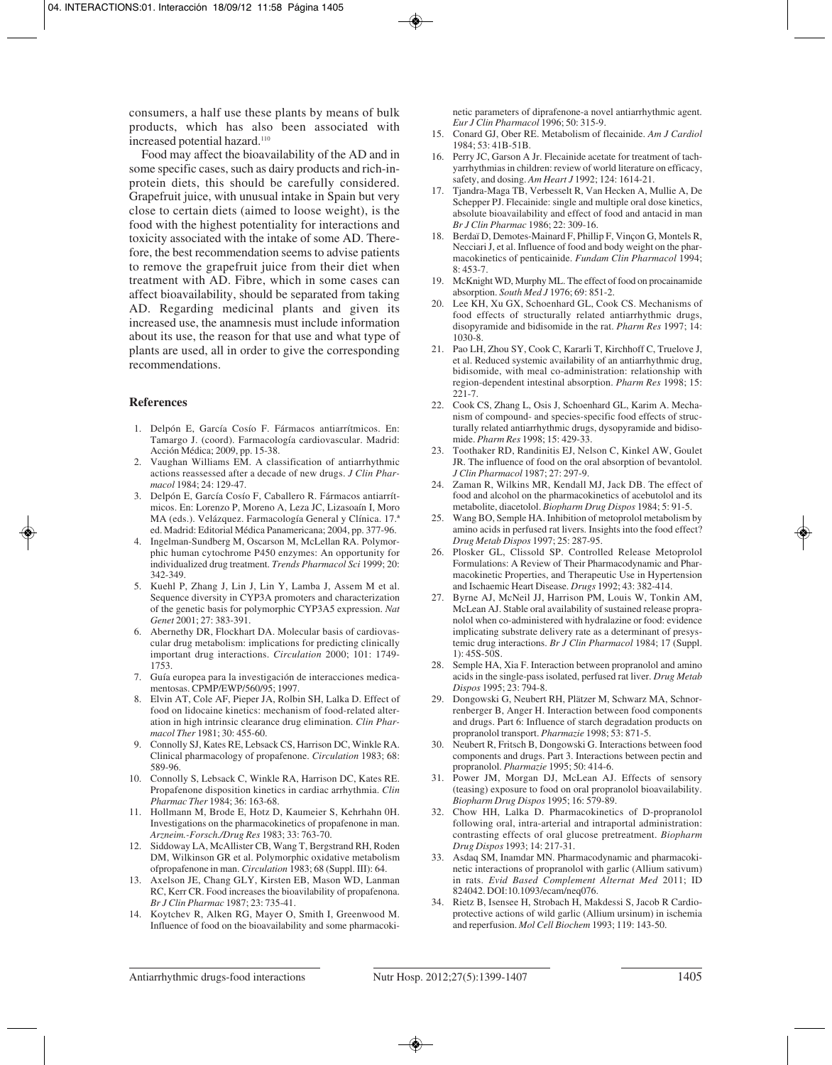consumers, a half use these plants by means of bulk products, which has also been associated with increased potential hazard.<sup>110</sup>

Food may affect the bioavailability of the AD and in some specific cases, such as dairy products and rich-inprotein diets, this should be carefully considered. Grapefruit juice, with unusual intake in Spain but very close to certain diets (aimed to loose weight), is the food with the highest potentiality for interactions and toxicity associated with the intake of some AD. Therefore, the best recommendation seems to advise patients to remove the grapefruit juice from their diet when treatment with AD. Fibre, which in some cases can affect bioavailability, should be separated from taking AD. Regarding medicinal plants and given its increased use, the anamnesis must include information about its use, the reason for that use and what type of plants are used, all in order to give the corresponding recommendations.

#### **References**

- 1. Delpón E, García Cosío F. Fármacos antiarrítmicos. En: Tamargo J. (coord). Farmacología cardiovascular. Madrid: Acción Médica; 2009, pp. 15-38.
- 2. Vaughan Williams EM. A classification of antiarrhythmic actions reassessed after a decade of new drugs. *J Clin Pharmacol* 1984; 24: 129-47.
- 3. Delpón E, García Cosío F, Caballero R. Fármacos antiarrítmicos. En: Lorenzo P, Moreno A, Leza JC, Lizasoaín I, Moro MA (eds.). Velázquez. Farmacología General y Clínica. 17.ª ed. Madrid: Editorial Médica Panamericana; 2004, pp. 377-96.
- 4. Ingelman-Sundberg M, Oscarson M, McLellan RA. Polymorphic human cytochrome P450 enzymes: An opportunity for individualized drug treatment. *Trends Pharmacol Sci* 1999; 20: 342-349.
- 5. Kuehl P, Zhang J, Lin J, Lin Y, Lamba J, Assem M et al. Sequence diversity in CYP3A promoters and characterization of the genetic basis for polymorphic CYP3A5 expression. *Nat Genet* 2001; 27: 383-391.
- 6. Abernethy DR, Flockhart DA. Molecular basis of cardiovascular drug metabolism: implications for predicting clinically important drug interactions. *Circulation* 2000; 101: 1749- 1753.
- 7. Guía europea para la investigación de interacciones medicamentosas. CPMP/EWP/560/95; 1997.
- 8. Elvin AT, Cole AF, Pieper JA, Rolbin SH, Lalka D. Effect of food on lidocaine kinetics: mechanism of food-related alteration in high intrinsic clearance drug elimination. *Clin Pharmacol Ther* 1981; 30: 455-60.
- 9. Connolly SJ, Kates RE, Lebsack CS, Harrison DC, Winkle RA. Clinical pharmacology of propafenone. *Circulation* 1983; 68: 589-96.
- 10. Connolly S, Lebsack C, Winkle RA, Harrison DC, Kates RE. Propafenone disposition kinetics in cardiac arrhythmia. *Clin Pharmac Ther* 1984; 36: 163-68.
- 11. Hollmann M, Brode E, Hotz D, Kaumeier S, Kehrhahn 0H. Investigations on the pharmacokinetics of propafenone in man. *Arzneim.-Forsch./Drug Res* 1983; 33: 763-70.
- 12. Siddoway LA, McAllister CB, Wang T, Bergstrand RH, Roden DM, Wilkinson GR et al. Polymorphic oxidative metabolism ofpropafenone in man. *Circulation* 1983; 68 (Suppl. III): 64.
- 13. Axelson JE, Chang GLY, Kirsten EB, Mason WD, Lanman RC, Kerr CR. Food increases the bioavilability of propafenona. *Br J Clin Pharmac* 1987; 23: 735-41.
- 14. Koytchev R, Alken RG, Mayer O, Smith I, Greenwood M. Influence of food on the bioavailability and some pharmacoki-

netic parameters of diprafenone-a novel antiarrhythmic agent. *Eur J Clin Pharmacol* 1996; 50: 315-9.

- 15. Conard GJ, Ober RE. Metabolism of flecainide. *Am J Cardiol* 1984; 53: 41B-51B.
- 16. Perry JC, Garson A Jr. Flecainide acetate for treatment of tachyarrhythmias in children: review of world literature on efficacy, safety, and dosing. *Am Heart J* 1992; 124: 1614-21.
- 17. Tjandra-Maga TB, Verbesselt R, Van Hecken A, Mullie A, De Schepper PJ. Flecainide: single and multiple oral dose kinetics, absolute bioavailability and effect of food and antacid in man *Br J Clin Pharmac* 1986; 22: 309-16.
- 18. Berdaï D, Demotes-Mainard F, Phillip F, Vinçon G, Montels R, Necciari J, et al. Influence of food and body weight on the pharmacokinetics of penticainide. *Fundam Clin Pharmacol* 1994; 8: 453-7.
- 19. McKnight WD, Murphy ML. The effect of food on procainamide absorption. *South Med J* 1976; 69: 851-2.
- 20. Lee KH, Xu GX, Schoenhard GL, Cook CS. Mechanisms of food effects of structurally related antiarrhythmic drugs, disopyramide and bidisomide in the rat. *Pharm Res* 1997; 14: 1030-8.
- 21. Pao LH, Zhou SY, Cook C, Kararli T, Kirchhoff C, Truelove J, et al. Reduced systemic availability of an antiarrhythmic drug, bidisomide, with meal co-administration: relationship with region-dependent intestinal absorption. *Pharm Res* 1998; 15: 221-7.
- 22. Cook CS, Zhang L, Osis J, Schoenhard GL, Karim A. Mechanism of compound- and species-specific food effects of structurally related antiarrhythmic drugs, dysopyramide and bidisomide. *Pharm Res* 1998; 15: 429-33.
- 23. Toothaker RD, Randinitis EJ, Nelson C, Kinkel AW, Goulet JR. The influence of food on the oral absorption of bevantolol. *J Clin Pharmacol* 1987; 27: 297-9.
- 24. Zaman R, Wilkins MR, Kendall MJ, Jack DB. The effect of food and alcohol on the pharmacokinetics of acebutolol and its metabolite, diacetolol. *Biopharm Drug Dispos* 1984; 5: 91-5.
- 25. Wang BO, Semple HA. Inhibition of metoprolol metabolism by amino acids in perfused rat livers. Insights into the food effect? *Drug Metab Dispos* 1997; 25: 287-95.
- 26. Plosker GL, Clissold SP. Controlled Release Metoprolol Formulations: A Review of Their Pharmacodynamic and Pharmacokinetic Properties, and Therapeutic Use in Hypertension and Ischaemic Heart Disease. *Drugs* 1992; 43: 382-414.
- 27. Byrne AJ, McNeil JJ, Harrison PM, Louis W, Tonkin AM, McLean AJ. Stable oral availability of sustained release propranolol when co-administered with hydralazine or food: evidence implicating substrate delivery rate as a determinant of presystemic drug interactions. *Br J Clin Pharmacol* 1984; 17 (Suppl. 1): 45S-50S.
- 28. Semple HA, Xia F. Interaction between propranolol and amino acids in the single-pass isolated, perfused rat liver. *Drug Metab Dispos* 1995; 23: 794-8.
- 29. Dongowski G, Neubert RH, Plätzer M, Schwarz MA, Schnorrenberger B, Anger H. Interaction between food components and drugs. Part 6: Influence of starch degradation products on propranolol transport. *Pharmazie* 1998; 53: 871-5.
- 30. Neubert R, Fritsch B, Dongowski G. Interactions between food components and drugs. Part 3. Interactions between pectin and propranolol. *Pharmazie* 1995; 50: 414-6.
- 31. Power JM, Morgan DJ, McLean AJ. Effects of sensory (teasing) exposure to food on oral propranolol bioavailability. *Biopharm Drug Dispos* 1995; 16: 579-89.
- 32. Chow HH, Lalka D. Pharmacokinetics of D-propranolol following oral, intra-arterial and intraportal administration: contrasting effects of oral glucose pretreatment. *Biopharm Drug Dispos* 1993; 14: 217-31.
- 33. Asdaq SM, Inamdar MN. Pharmacodynamic and pharmacokinetic interactions of propranolol with garlic (Allium sativum) in rats. *Evid Based Complement Alternat Med* 2011; ID 824042. DOI:10.1093/ecam/neq076.
- 34. Rietz B, Isensee H, Strobach H, Makdessi S, Jacob R Cardioprotective actions of wild garlic (Allium ursinum) in ischemia and reperfusion. *Mol Cell Biochem* 1993; 119: 143-50.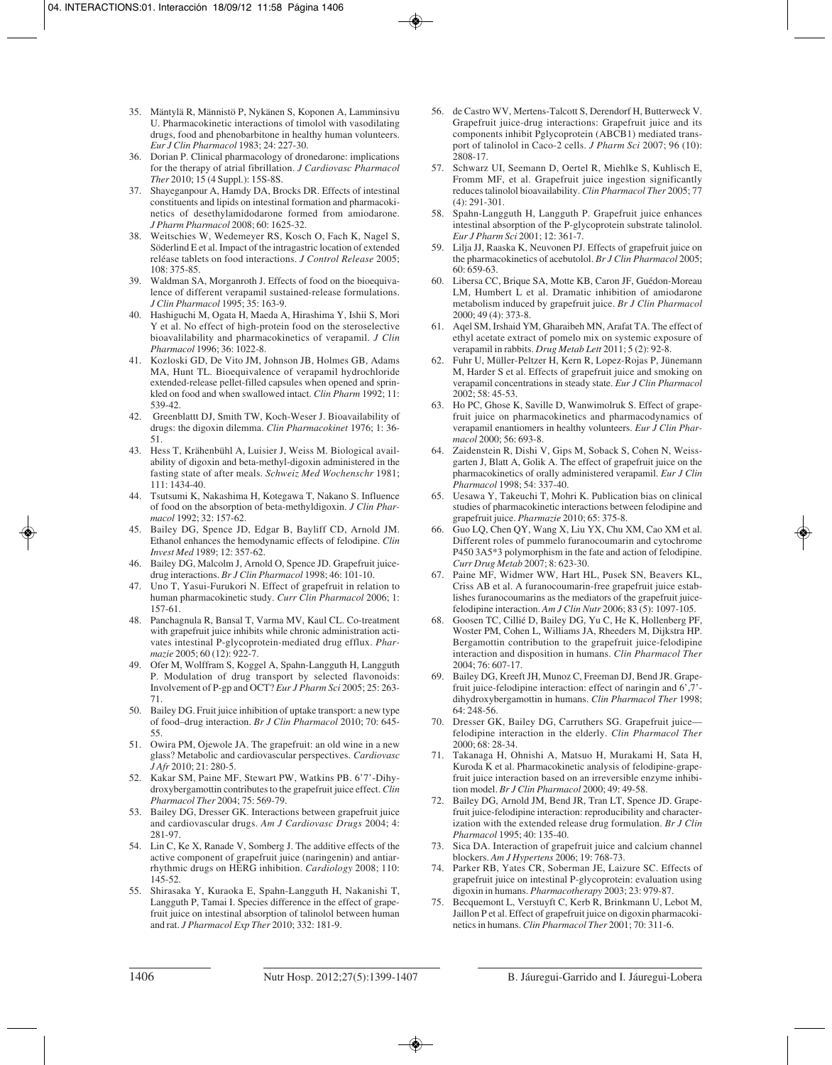- 35. Mäntylä R, Männistö P, Nykänen S, Koponen A, Lamminsivu U. Pharmacokinetic interactions of timolol with vasodilating drugs, food and phenobarbitone in healthy human volunteers. *Eur J Clin Pharmacol* 1983; 24: 227-30.
- 36. Dorian P. Clinical pharmacology of dronedarone: implications for the therapy of atrial fibrillation. *J Cardiovasc Pharmacol Ther* 2010; 15 (4 Suppl.): 15S-8S.
- 37. Shayeganpour A, Hamdy DA, Brocks DR. Effects of intestinal constituents and lipids on intestinal formation and pharmacokinetics of desethylamidodarone formed from amiodarone. *J Pharm Pharmacol* 2008; 60: 1625-32.
- 38. Weitschies W, Wedemeyer RS, Kosch O, Fach K, Nagel S, Söderlind E et al. Impact of the intragastric location of extended reléase tablets on food interactions. *J Control Release* 2005; 108: 375-85.
- 39. Waldman SA, Morganroth J. Effects of food on the bioequivalence of different verapamil sustained-release formulations. *J Clin Pharmacol* 1995; 35: 163-9.
- 40. Hashiguchi M, Ogata H, Maeda A, Hirashima Y, Ishii S, Mori Y et al. No effect of high-protein food on the steroselective bioavalilability and pharmacokinetics of verapamil. *J Clin Pharmacol* 1996; 36: 1022-8.
- 41. Kozloski GD, De Vito JM, Johnson JB, Holmes GB, Adams MA, Hunt TL. Bioequivalence of verapamil hydrochloride extended-release pellet-filled capsules when opened and sprinkled on food and when swallowed intact. *Clin Pharm* 1992; 11: 539-42.
- 42. Greenblattt DJ, Smith TW, Koch-Weser J. Bioavailability of drugs: the digoxin dilemma. *Clin Pharmacokinet* 1976; 1: 36- 51.
- 43. Hess T, Krähenbühl A, Luisier J, Weiss M. Biological availability of digoxin and beta-methyl-digoxin administered in the fasting state of after meals. *Schweiz Med Wochenschr* 1981; 111: 1434-40.
- 44. Tsutsumi K, Nakashima H, Kotegawa T, Nakano S. Influence of food on the absorption of beta-methyldigoxin. *J Clin Pharmacol* 1992; 32: 157-62.
- 45. Bailey DG, Spence JD, Edgar B, Bayliff CD, Arnold JM. Ethanol enhances the hemodynamic effects of felodipine. *Clin Invest Med* 1989; 12: 357-62.
- 46. Bailey DG, Malcolm J, Arnold O, Spence JD. Grapefruit juicedrug interactions. *Br J Clin Pharmacol* 1998; 46: 101-10.
- 47. Uno T, Yasui-Furukori N. Effect of grapefruit in relation to human pharmacokinetic study. *Curr Clin Pharmacol* 2006; 1: 157-61.
- 48. Panchagnula R, Bansal T, Varma MV, Kaul CL. Co-treatment with grapefruit juice inhibits while chronic administration activates intestinal P-glycoprotein-mediated drug efflux. *Pharmazie* 2005; 60 (12): 922-7.
- 49. Ofer M, Wolffram S, Koggel A, Spahn-Langguth H, Langguth P. Modulation of drug transport by selected flavonoids: Involvement of P-gp and OCT? *Eur J Pharm Sci* 2005; 25: 263- 71.
- 50. Bailey DG. Fruit juice inhibition of uptake transport: a new type of food–drug interaction. *Br J Clin Pharmacol* 2010; 70: 645- 55.
- 51. Owira PM, Ojewole JA. The grapefruit: an old wine in a new glass? Metabolic and cardiovascular perspectives. *Cardiovasc J Afr* 2010; 21: 280-5.
- 52. Kakar SM, Paine MF, Stewart PW, Watkins PB. 6'7'-Dihydroxybergamottin contributes to the grapefruit juice effect. *Clin Pharmacol Ther* 2004; 75: 569-79.
- 53. Bailey DG, Dresser GK. Interactions between grapefruit juice and cardiovascular drugs. *Am J Cardiovasc Drugs* 2004; 4: 281-97.
- 54. Lin C, Ke X, Ranade V, Somberg J. The additive effects of the active component of grapefruit juice (naringenin) and antiarrhythmic drugs on HERG inhibition. *Cardiology* 2008; 110: 145-52.
- 55. Shirasaka Y, Kuraoka E, Spahn-Langguth H, Nakanishi T, Langguth P, Tamai I. Species difference in the effect of grapefruit juice on intestinal absorption of talinolol between human and rat. *J Pharmacol Exp Ther* 2010; 332: 181-9.
- 56. de Castro WV, Mertens-Talcott S, Derendorf H, Butterweck V. Grapefruit juice-drug interactions: Grapefruit juice and its components inhibit Pglycoprotein (ABCB1) mediated transport of talinolol in Caco-2 cells. *J Pharm Sci* 2007; 96 (10): 2808-17.
- 57. Schwarz UI, Seemann D, Oertel R, Miehlke S, Kuhlisch E, Fromm MF, et al. Grapefruit juice ingestion significantly reduces talinolol bioavailability. *Clin Pharmacol Ther* 2005; 77 (4): 291-301.
- 58. Spahn-Langguth H, Langguth P. Grapefruit juice enhances intestinal absorption of the P-glycoprotein substrate talinolol. *Eur J Pharm Sci* 2001; 12: 361-7.
- 59. Lilja JJ, Raaska K, Neuvonen PJ. Effects of grapefruit juice on the pharmacokinetics of acebutolol. *Br J Clin Pharmacol* 2005; 60: 659-63.
- 60. Libersa CC, Brique SA, Motte KB, Caron JF, Guédon-Moreau LM, Humbert L et al. Dramatic inhibition of amiodarone metabolism induced by grapefruit juice. *Br J Clin Pharmacol* 2000; 49 (4): 373-8.
- 61. Aqel SM, Irshaid YM, Gharaibeh MN, Arafat TA. The effect of ethyl acetate extract of pomelo mix on systemic exposure of verapamil in rabbits. *Drug Metab Lett* 2011; 5 (2): 92-8.
- 62. Fuhr U, Müller-Peltzer H, Kern R, Lopez-Rojas P, Jünemann M, Harder S et al. Effects of grapefruit juice and smoking on verapamil concentrations in steady state. *Eur J Clin Pharmacol* 2002; 58: 45-53.
- 63. Ho PC, Ghose K, Saville D, Wanwimolruk S. Effect of grapefruit juice on pharmacokinetics and pharmacodynamics of verapamil enantiomers in healthy volunteers. *Eur J Clin Pharmacol* 2000; 56: 693-8.
- 64. Zaidenstein R, Dishi V, Gips M, Soback S, Cohen N, Weissgarten J, Blatt A, Golik A. The effect of grapefruit juice on the pharmacokinetics of orally administered verapamil. *Eur J Clin Pharmacol* 1998; 54: 337-40.
- 65. Uesawa Y, Takeuchi T, Mohri K. Publication bias on clinical studies of pharmacokinetic interactions between felodipine and grapefruit juice. *Pharmazie* 2010; 65: 375-8.
- 66. Guo LQ, Chen QY, Wang X, Liu YX, Chu XM, Cao XM et al. Different roles of pummelo furanocoumarin and cytochrome P450 3A5\*3 polymorphism in the fate and action of felodipine. *Curr Drug Metab* 2007; 8: 623-30.
- 67. Paine MF, Widmer WW, Hart HL, Pusek SN, Beavers KL, Criss AB et al. A furanocoumarin-free grapefruit juice establishes furanocoumarins as the mediators of the grapefruit juicefelodipine interaction. *Am J Clin Nutr* 2006; 83 (5): 1097-105.
- 68. Goosen TC, Cillié D, Bailey DG, Yu C, He K, Hollenberg PF, Woster PM, Cohen L, Williams JA, Rheeders M, Dijkstra HP. Bergamottin contribution to the grapefruit juice-felodipine interaction and disposition in humans. *Clin Pharmacol Ther* 2004; 76: 607-17.
- 69. Bailey DG, Kreeft JH, Munoz C, Freeman DJ, Bend JR. Grapefruit juice-felodipine interaction: effect of naringin and 6',7' dihydroxybergamottin in humans. *Clin Pharmacol Ther* 1998; 64: 248-56.
- 70. Dresser GK, Bailey DG, Carruthers SG. Grapefruit juice felodipine interaction in the elderly. *Clin Pharmacol Ther* 2000; 68: 28-34.
- 71. Takanaga H, Ohnishi A, Matsuo H, Murakami H, Sata H, Kuroda K et al. Pharmacokinetic analysis of felodipine-grapefruit juice interaction based on an irreversible enzyme inhibition model. *Br J Clin Pharmacol* 2000; 49: 49-58.
- 72. Bailey DG, Arnold JM, Bend JR, Tran LT, Spence JD. Grapefruit juice-felodipine interaction: reproducibility and characterization with the extended release drug formulation. *Br J Clin Pharmacol* 1995; 40: 135-40.
- 73. Sica DA. Interaction of grapefruit juice and calcium channel blockers. *Am J Hypertens* 2006; 19: 768-73.
- 74. Parker RB, Yates CR, Soberman JE, Laizure SC. Effects of grapefruit juice on intestinal P-glycoprotein: evaluation using digoxin in humans. *Pharmacotherapy* 2003; 23: 979-87.
- 75. Becquemont L, Verstuyft C, Kerb R, Brinkmann U, Lebot M, Jaillon P et al. Effect of grapefruit juice on digoxin pharmacokinetics in humans. *Clin Pharmacol Ther* 2001; 70: 311-6.